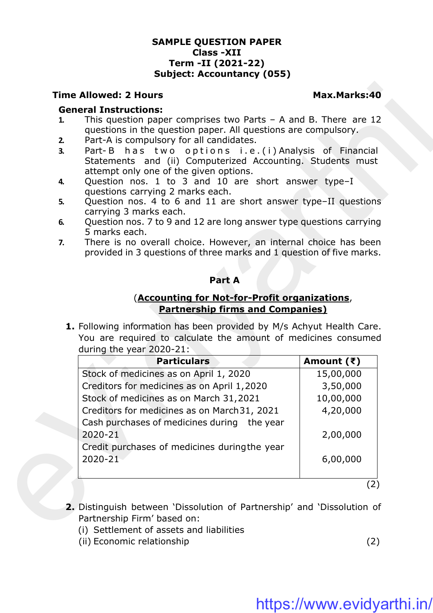### **SAMPLE QUESTION PAPER Class -XII Term -II (2021-22) Subject: Accountancy (055)**

### **Time Allowed: 2 Hours Max.Marks:40**

### **General Instructions:**

- **1.** This question paper comprises two Parts A and B. There are 12 questions in the question paper. All questions are compulsory.
- **2.** Part-A is compulsory for all candidates.
- **3.** Part-B has two options i.e.(i) Analysis of Financial Statements and (ii) Computerized Accounting. Students must attempt only one of the given options.
- **4.** Question nos. 1 to 3 and 10 are short answer type–I questions carrying 2 marks each.
- **5.** Question nos. 4 to 6 and 11 are short answer type–II questions carrying 3 marks each.
- **6.** Question nos. 7 to 9 and 12 are long answer type questions carrying 5 marks each.
- **7.** There is no overall choice. However, an internal choice has been provided in 3 questions of three marks and 1 question of five marks.

### **Part A**

### (**Accounting for Not-for-Profit organizations**, **Partnership firms and Companies)**

|          | <b>General Instructions:</b>                                                                                                                                        |              |  |
|----------|---------------------------------------------------------------------------------------------------------------------------------------------------------------------|--------------|--|
|          | This question paper comprises two Parts $-$ A and B. There are 12<br>questions in the question paper. All questions are compulsory.                                 |              |  |
| 2.<br>3. | Part-A is compulsory for all candidates.<br>Part-B has two options i.e.(i) Analysis of Financial<br>Statements and (ii) Computerized Accounting. Students must      |              |  |
|          | attempt only one of the given options.                                                                                                                              |              |  |
| 4.       | Question nos. 1 to 3 and 10 are short answer type-I<br>questions carrying 2 marks each.                                                                             |              |  |
| 5.       | Question nos. 4 to 6 and 11 are short answer type-II questions<br>carrying 3 marks each.                                                                            |              |  |
| 6.       | Question nos. 7 to 9 and 12 are long answer type questions carrying                                                                                                 |              |  |
| 7.       | 5 marks each.<br>There is no overall choice. However, an internal choice has been<br>provided in 3 questions of three marks and 1 question of five marks.           |              |  |
|          | Part A                                                                                                                                                              |              |  |
|          |                                                                                                                                                                     |              |  |
|          | (Accounting for Not-for-Profit organizations,<br><b>Partnership firms and Companies)</b>                                                                            |              |  |
|          | 1. Following information has been provided by M/s Achyut Health Care.<br>You are required to calculate the amount of medicines consumed<br>during the year 2020-21: |              |  |
|          | <b>Particulars</b>                                                                                                                                                  | Amount $(3)$ |  |
|          | Stock of medicines as on April 1, 2020                                                                                                                              | 15,00,000    |  |
|          | Creditors for medicines as on April 1,2020                                                                                                                          | 3,50,000     |  |
|          | Stock of medicines as on March 31,2021                                                                                                                              | 10,00,000    |  |
|          | Creditors for medicines as on March 31, 2021                                                                                                                        | 4,20,000     |  |
|          | Cash purchases of medicines during the year<br>2020-21                                                                                                              | 2,00,000     |  |
|          | Credit purchases of medicines duringthe year                                                                                                                        |              |  |
|          | 2020-21                                                                                                                                                             | 6,00,000     |  |

- **2.** Distinguish between 'Dissolution of Partnership' and 'Dissolution of Partnership Firm' based on:
	- (i) Settlement of assets and liabilities
	- (ii) Economic relationship (2)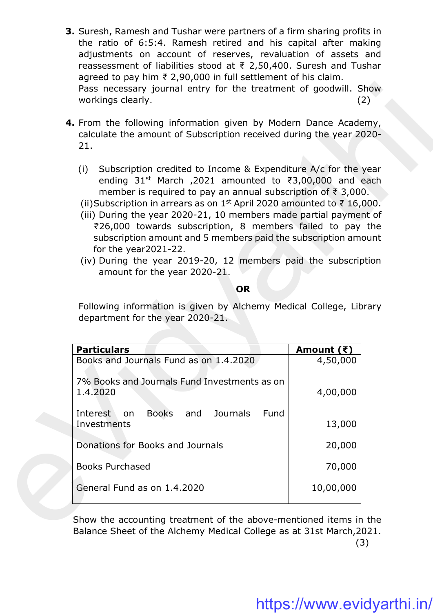- **3.** Suresh, Ramesh and Tushar were partners of a firm sharing profits in the ratio of 6:5:4. Ramesh retired and his capital after making adjustments on account of reserves, revaluation of assets and reassessment of liabilities stood at ₹ 2,50,400. Suresh and Tushar agreed to pay him ₹ 2,90,000 in full settlement of his claim. Pass necessary journal entry for the treatment of goodwill. Show workings clearly. (2)
- **4.** From the following information given by Modern Dance Academy, calculate the amount of Subscription received during the year 2020- 21.
	- (i) Subscription credited to Income & Expenditure A/c for the year ending 31<sup>st</sup> March ,2021 amounted to ₹3,00,000 and each member is required to pay an annual subscription of ₹ 3,000.
	- (ii)Subscription in arrears as on 1<sup>st</sup> April 2020 amounted to ₹ 16,000.
	- (iii) During the year 2020-21, 10 members made partial payment of ₹26,000 towards subscription, 8 members failed to pay the subscription amount and 5 members paid the subscription amount for the year2021-22.
	- (iv) During the year 2019-20, 12 members paid the subscription amount for the year 2020-21.

### **OR**

| Pass necessary journal entry for the treatment of goodwill. Show<br>workings clearly.                                                                                                                                                                                                                                                                                                                                                                                                                                                                                                                                                             |                    | (2) |  |
|---------------------------------------------------------------------------------------------------------------------------------------------------------------------------------------------------------------------------------------------------------------------------------------------------------------------------------------------------------------------------------------------------------------------------------------------------------------------------------------------------------------------------------------------------------------------------------------------------------------------------------------------------|--------------------|-----|--|
| 4. From the following information given by Modern Dance Academy,<br>calculate the amount of Subscription received during the year 2020-<br>21.                                                                                                                                                                                                                                                                                                                                                                                                                                                                                                    |                    |     |  |
| Subscription credited to Income & Expenditure A/c for the year<br>(i)<br>ending 31 <sup>st</sup> March , 2021 amounted to ₹3,00,000 and each<br>member is required to pay an annual subscription of $\bar{\tau}$ 3,000.<br>(ii)Subscription in arrears as on 1 <sup>st</sup> April 2020 amounted to ₹ 16,000.<br>(iii) During the year 2020-21, 10 members made partial payment of<br>₹26,000 towards subscription, 8 members failed to pay the<br>subscription amount and 5 members paid the subscription amount<br>for the year $2021 - 22$ .<br>(iv) During the year 2019-20, 12 members paid the subscription<br>amount for the year 2020-21. |                    |     |  |
| <b>OR</b>                                                                                                                                                                                                                                                                                                                                                                                                                                                                                                                                                                                                                                         |                    |     |  |
|                                                                                                                                                                                                                                                                                                                                                                                                                                                                                                                                                                                                                                                   |                    |     |  |
| Following information is given by Alchemy Medical College, Library<br>department for the year 2020-21.                                                                                                                                                                                                                                                                                                                                                                                                                                                                                                                                            |                    |     |  |
| <b>Particulars</b>                                                                                                                                                                                                                                                                                                                                                                                                                                                                                                                                                                                                                                | Amount $(\bar{z})$ |     |  |
| Books and Journals Fund as on 1.4.2020                                                                                                                                                                                                                                                                                                                                                                                                                                                                                                                                                                                                            | 4,50,000           |     |  |
| 7% Books and Journals Fund Investments as on<br>1.4.2020                                                                                                                                                                                                                                                                                                                                                                                                                                                                                                                                                                                          | 4,00,000           |     |  |
| Interest<br><b>Books</b><br><b>Journals</b><br>Fund<br>and<br>on<br>Investments                                                                                                                                                                                                                                                                                                                                                                                                                                                                                                                                                                   | 13,000             |     |  |
| Donations for Books and Journals                                                                                                                                                                                                                                                                                                                                                                                                                                                                                                                                                                                                                  | 20,000             |     |  |
| <b>Books Purchased</b>                                                                                                                                                                                                                                                                                                                                                                                                                                                                                                                                                                                                                            | 70,000             |     |  |

Show the accounting treatment of the above-mentioned items in the Balance Sheet of the Alchemy Medical College as at 31st March,2021.  $(3)$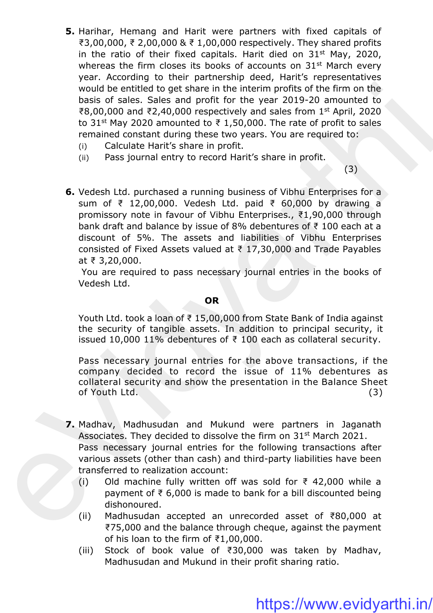- **5.** Harihar, Hemang and Harit were partners with fixed capitals of ₹3,00,000, ₹ 2,00,000 & ₹ 1,00,000 respectively. They shared profits in the ratio of their fixed capitals. Harit died on  $31<sup>st</sup>$  May, 2020, whereas the firm closes its books of accounts on 31<sup>st</sup> March every year. According to their partnership deed, Harit's representatives would be entitled to get share in the interim profits of the firm on the basis of sales. Sales and profit for the year 2019-20 amounted to ₹8,00,000 and ₹2,40,000 respectively and sales from 1<sup>st</sup> April, 2020 to 31<sup>st</sup> May 2020 amounted to ₹ 1,50,000. The rate of profit to sales remained constant during these two years. You are required to:
	- (i) Calculate Harit's share in profit.
	- (ii) Pass journal entry to record Harit's share in profit.

 $(3)$ 

**6.** Vedesh Ltd. purchased a running business of Vibhu Enterprises for a sum of ₹ 12,00,000. Vedesh Ltd. paid ₹ 60,000 by drawing a promissory note in favour of Vibhu Enterprises., ₹1,90,000 through bank draft and balance by issue of 8% debentures of ₹ 100 each at a discount of 5%. The assets and liabilities of Vibhu Enterprises consisted of Fixed Assets valued at ₹ 17,30,000 and Trade Payables at ₹ 3,20,000. would be entitled to get share in the interimp profits of the firm on the stage.<br>
basis of sales. Sales and profit for the year 2019-20 amounted to<br>
86,0,000 and 82,40,000 respectively and sales from 18-April, 2020<br>
to 31

You are required to pass necessary journal entries in the books of Vedesh Ltd.

#### **OR**

Youth Ltd. took a loan of ₹ 15,00,000 from State Bank of India against the security of tangible assets. In addition to principal security, it issued 10,000 11% debentures of ₹ 100 each as collateral security.

Pass necessary journal entries for the above transactions, if the company decided to record the issue of 11% debentures as collateral security and show the presentation in the Balance Sheet of Youth Ltd. (3)

- **7.** Madhav, Madhusudan and Mukund were partners in Jaganath Associates. They decided to dissolve the firm on 31<sup>st</sup> March 2021. Pass necessary journal entries for the following transactions after various assets (other than cash) and third-party liabilities have been transferred to realization account:
	- (i) Old machine fully written off was sold for  $\bar{\tau}$  42,000 while a payment of ₹ 6,000 is made to bank for a bill discounted being dishonoured.
	- (ii) Madhusudan accepted an unrecorded asset of ₹80,000 at ₹75,000 and the balance through cheque, against the payment of his loan to the firm of ₹1,00,000.
	- (iii) Stock of book value of ₹30,000 was taken by Madhav, Madhusudan and Mukund in their profit sharing ratio.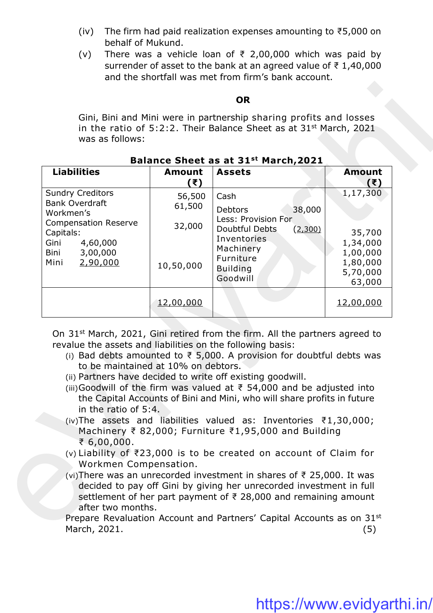- (iv) The firm had paid realization expenses amounting to ₹5,000 on behalf of Mukund.
- (v) There was a vehicle loan of  $\overline{\xi}$  2,00,000 which was paid by surrender of asset to the bank at an agreed value of ₹ 1,40,000 and the shortfall was met from firm's bank account.

#### **OR**

### **Balance Sheet as at 31st March,2021**

- (i) Bad debts amounted to  $\overline{\xi}$  5,000. A provision for doubtful debts was to be maintained at 10% on debtors.
- (ii) Partners have decided to write off existing goodwill.
- (iii)Goodwill of the firm was valued at  $\bar{\tau}$  54,000 and be adjusted into the Capital Accounts of Bini and Mini, who will share profits in future in the ratio of 5:4.
- (iv)The assets and liabilities valued as: Inventories ₹1,30,000; Machinery ₹ 82,000; Furniture ₹1,95,000 and Building ₹ 6,00,000.
- (v) Liability of ₹23,000 is to be created on account of Claim for Workmen Compensation.
- (vi)There was an unrecorded investment in shares of ₹ 25,000. It was decided to pay off Gini by giving her unrecorded investment in full settlement of her part payment of ₹ 28,000 and remaining amount after two months.

Prepare Revaluation Account and Partners' Capital Accounts as on 31st March, 2021. (5)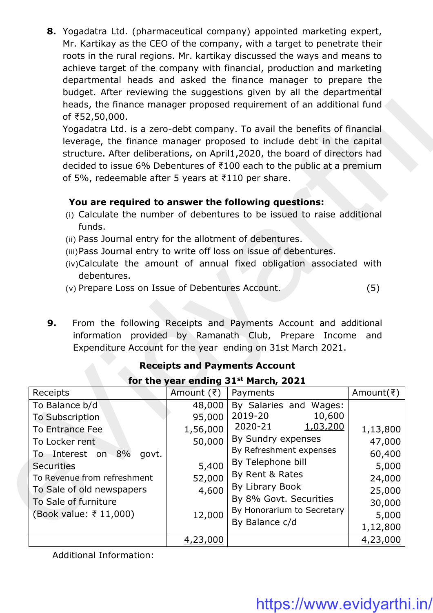**8.** Yogadatra Ltd. (pharmaceutical company) appointed marketing expert, Mr. Kartikay as the CEO of the company, with a target to penetrate their roots in the rural regions. Mr. kartikay discussed the ways and means to achieve target of the company with financial, production and marketing departmental heads and asked the finance manager to prepare the budget. After reviewing the suggestions given by all the departmental heads, the finance manager proposed requirement of an additional fund of ₹52,50,000.

# **You are required to answer the following questions:**

- (i) Calculate the number of debentures to be issued to raise additional funds.
- (ii) Pass Journal entry for the allotment of debentures.
- (iii)Pass Journal entry to write off loss on issue of debentures.
- (iv)Calculate the amount of annual fixed obligation associated with debentures.
- (v) Prepare Loss on Issue of Debentures Account. (5)
- **9.** From the following Receipts and Payments Account and additional information provided by Ramanath Club, Prepare Income and Expenditure Account for the year ending on 31st March 2021.

| of ₹52,50,000.<br>of 5%, redeemable after 5 years at $\overline{5}110$ per share.                                                                                                                                       |                                                          | acparentement inclus and asked the imance manager to prepare the<br>budget. After reviewing the suggestions given by all the departmental<br>heads, the finance manager proposed requirement of an additional fund<br>Yogadatra Ltd. is a zero-debt company. To avail the benefits of financial<br>leverage, the finance manager proposed to include debt in the capital<br>structure. After deliberations, on April1,2020, the board of directors had<br>decided to issue 6% Debentures of ₹100 each to the public at a premium |                                                           |
|-------------------------------------------------------------------------------------------------------------------------------------------------------------------------------------------------------------------------|----------------------------------------------------------|----------------------------------------------------------------------------------------------------------------------------------------------------------------------------------------------------------------------------------------------------------------------------------------------------------------------------------------------------------------------------------------------------------------------------------------------------------------------------------------------------------------------------------|-----------------------------------------------------------|
| funds.<br>(ii) Pass Journal entry for the allotment of debentures.                                                                                                                                                      |                                                          | You are required to answer the following questions:<br>(i) Calculate the number of debentures to be issued to raise additional<br>(iii) Pass Journal entry to write off loss on issue of debentures.<br>(iv)Calculate the amount of annual fixed obligation associated with                                                                                                                                                                                                                                                      |                                                           |
| debentures.<br>(v) Prepare Loss on Issue of Debentures Account.                                                                                                                                                         |                                                          |                                                                                                                                                                                                                                                                                                                                                                                                                                                                                                                                  | (5)                                                       |
|                                                                                                                                                                                                                         |                                                          | information provided by Ramanath Club, Prepare Income and<br>Expenditure Account for the year ending on 31st March 2021.<br><b>Receipts and Payments Account</b>                                                                                                                                                                                                                                                                                                                                                                 |                                                           |
| Receipts                                                                                                                                                                                                                | Amount (₹)                                               | for the year ending 31 <sup>st</sup> March, 2021<br>Payments                                                                                                                                                                                                                                                                                                                                                                                                                                                                     | Amount( $\bar{z}$ )                                       |
| To Balance b/d<br><b>To Subscription</b><br>To Entrance Fee<br>To Locker rent<br>Interest on 8%<br>govt.<br>To<br><b>Securities</b><br>To Revenue from refreshment<br>To Sale of old newspapers<br>To Sale of furniture | 95,000<br>1,56,000<br>50,000<br>5,400<br>52,000<br>4,600 | 48,000   By Salaries and Wages:<br>2019-20<br>10,600<br>2020-21<br>1,03,200<br>By Sundry expenses<br>By Refreshment expenses<br>By Telephone bill<br>By Rent & Rates<br>By Library Book<br>By 8% Govt. Securities                                                                                                                                                                                                                                                                                                                | 1,13,800<br>47,000<br>60,400<br>5,000<br>24,000<br>25,000 |
| (Book value: ₹ 11,000)                                                                                                                                                                                                  | 12,000                                                   | By Honorarium to Secretary                                                                                                                                                                                                                                                                                                                                                                                                                                                                                                       | 30,000<br>5,000                                           |
|                                                                                                                                                                                                                         | 4,23,000                                                 | By Balance c/d                                                                                                                                                                                                                                                                                                                                                                                                                                                                                                                   | 1,12,800<br>4,23,000                                      |

# **Receipts and Payments Account**

Additional Information: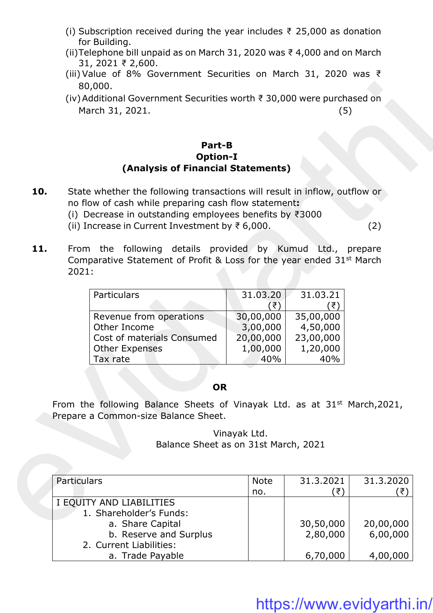- (i) Subscription received during the year includes  $\bar{z}$  25,000 as donation for Building.
- (ii)Telephone bill unpaid as on March 31, 2020 was ₹ 4,000 and on March 31, 2021 ₹ 2,600.
- (iii) Value of 8% Government Securities on March 31, 2020 was ₹ 80,000.
- (iv)Additional Government Securities worth ₹ 30,000 were purchased on March 31, 2021. (5)

# **Part-B Option-I (Analysis of Financial Statements)**

- **10.** State whether the following transactions will result in inflow, outflow or no flow of cash while preparing cash flow statement**:**
	- (i) Decrease in outstanding employees benefits by ₹3000
	- (ii) Increase in Current Investment by ₹ 6,000. (2)
- 11. From the following details provided by Kumud Ltd., prepare Comparative Statement of Profit & Loss for the year ended 31st March 2021:

| Particulars                | 31.03.20  | 31.03.21  |
|----------------------------|-----------|-----------|
|                            | ₹         |           |
| Revenue from operations    | 30,00,000 | 35,00,000 |
| Other Income               | 3,00,000  | 4,50,000  |
| Cost of materials Consumed | 20,00,000 | 23,00,000 |
| <b>Other Expenses</b>      | 1,00,000  | 1,20,000  |
| Tax rate                   | 40%       |           |

### **OR**

|     | 80,000.                                                                                                                                                                                                                                                                  |                                                       |                                                       |                       |
|-----|--------------------------------------------------------------------------------------------------------------------------------------------------------------------------------------------------------------------------------------------------------------------------|-------------------------------------------------------|-------------------------------------------------------|-----------------------|
|     | (iv) Additional Government Securities worth ₹ 30,000 were purchased on<br>March 31, 2021.                                                                                                                                                                                |                                                       | (5)                                                   |                       |
|     | Part-B<br><b>Option-I</b><br>(Analysis of Financial Statements)                                                                                                                                                                                                          |                                                       |                                                       |                       |
| 10. | State whether the following transactions will result in inflow, outflow or<br>no flow of cash while preparing cash flow statement:<br>(i) Decrease in outstanding employees benefits by $\overline{\tau}3000$<br>(ii) Increase in Current Investment by $\bar{z}$ 6,000. |                                                       |                                                       | (2)                   |
| 11. | From the following details provided by Kumud Ltd.,<br>Comparative Statement of Profit & Loss for the year ended 31 <sup>st</sup> March<br>2021:                                                                                                                          |                                                       |                                                       | prepare               |
|     | Particulars                                                                                                                                                                                                                                                              | 31.03.20<br>(₹)                                       | 31.03.21<br>(₹)                                       |                       |
|     | Revenue from operations<br>Other Income<br>Cost of materials Consumed<br><b>Other Expenses</b><br>Tax rate                                                                                                                                                               | 30,00,000<br>3,00,000<br>20,00,000<br>1,00,000<br>40% | 35,00,000<br>4,50,000<br>23,00,000<br>1,20,000<br>40% |                       |
|     | <b>OR</b>                                                                                                                                                                                                                                                                |                                                       |                                                       |                       |
|     | From the following Balance Sheets of Vinayak Ltd. as at 31 <sup>st</sup> March, 2021,<br>Prepare a Common-size Balance Sheet.                                                                                                                                            |                                                       |                                                       |                       |
|     | Balance Sheet as on 31st March, 2021                                                                                                                                                                                                                                     | Vinayak Ltd.                                          |                                                       |                       |
|     |                                                                                                                                                                                                                                                                          |                                                       |                                                       |                       |
|     | Particulars                                                                                                                                                                                                                                                              | <b>Note</b><br>no.                                    | 31.3.2021<br>(₹)                                      | 31.3.2020<br>(₹)      |
|     | I EQUITY AND LIABILITIES<br>1. Shareholder's Funds:<br>a. Share Capital<br>b. Reserve and Surplus<br>2. Current Liabilities:                                                                                                                                             |                                                       | 30,50,000<br>2,80,000                                 | 20,00,000<br>6,00,000 |
|     | a. Trade Payable                                                                                                                                                                                                                                                         |                                                       | 6,70,000                                              | 4,00,000              |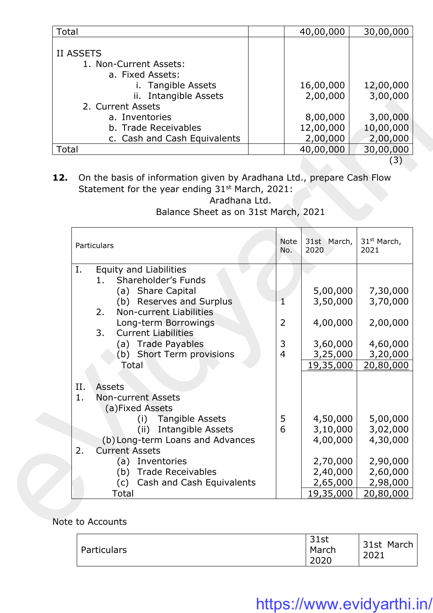| Total                                                                             | 40,00,000             | 30,00,000             |
|-----------------------------------------------------------------------------------|-----------------------|-----------------------|
| <b>II ASSETS</b><br>1. Non-Current Assets:<br>a. Fixed Assets:<br>Tangible Assets | 16,00,000             | 12,00,000             |
| ii. Intangible Assets<br>2. Current Assets                                        | 2,00,000              | 3,00,000              |
| a. Inventories                                                                    | 8,00,000              | 3,00,000              |
| b. Trade Receivables<br>c. Cash and Cash Equivalents                              | 12,00,000<br>2,00,000 | 10,00,000<br>2,00,000 |
| Total                                                                             | 40,00,000             | 30,00,000             |

|              | i. Tangible Assets                                                    |                | 16,00,000   | 12,00,000               |
|--------------|-----------------------------------------------------------------------|----------------|-------------|-------------------------|
|              | ii. Intangible Assets                                                 |                | 2,00,000    | 3,00,000                |
|              | 2. Current Assets                                                     |                |             |                         |
|              | a. Inventories                                                        |                | 8,00,000    | 3,00,000                |
|              | b. Trade Receivables                                                  |                | 12,00,000   | 10,00,000               |
|              | c. Cash and Cash Equivalents                                          |                | 2,00,000    | 2,00,000                |
| <b>Total</b> |                                                                       |                | 40,00,000   | 30,00,000               |
|              |                                                                       |                |             | (3)                     |
| 12.          | On the basis of information given by Aradhana Ltd., prepare Cash Flow |                |             |                         |
|              | Statement for the year ending 31 <sup>st</sup> March, 2021:           |                |             |                         |
|              | Aradhana Ltd.                                                         |                |             |                         |
|              | Balance Sheet as on 31st March, 2021                                  |                |             |                         |
|              |                                                                       |                |             |                         |
|              |                                                                       | <b>Note</b>    | 31st March, | 31 <sup>st</sup> March, |
|              | Particulars                                                           | No.            | 2020        | 2021                    |
| Ι.           | Equity and Liabilities                                                |                |             |                         |
|              | Shareholder's Funds<br>1.                                             |                |             |                         |
|              | (a) Share Capital                                                     |                | 5,00,000    | 7,30,000                |
|              | (b) Reserves and Surplus                                              | 1              | 3,50,000    | 3,70,000                |
|              | <b>Non-current Liabilities</b><br>2.                                  |                |             |                         |
|              | Long-term Borrowings                                                  | 2              | 4,00,000    | 2,00,000                |
|              | 3.<br><b>Current Liabilities</b>                                      |                |             |                         |
|              | (a) Trade Payables                                                    | 3              | 3,60,000    | 4,60,000                |
|              | (b) Short Term provisions                                             | $\overline{4}$ | 3,25,000    | 3,20,000                |
|              | Total                                                                 |                | 19,35,000   | 20,80,000               |
|              |                                                                       |                |             |                         |
| II.          | <b>Assets</b>                                                         |                |             |                         |
| 1.           | <b>Non-current Assets</b>                                             |                |             |                         |
|              | (a)Fixed Assets                                                       |                |             |                         |
|              | <b>Tangible Assets</b><br>(i)                                         | 5              | 4,50,000    | 5,00,000                |
|              | <b>Intangible Assets</b><br>(ii)                                      | 6              | 3,10,000    | 3,02,000                |
|              | (b) Long-term Loans and Advances                                      |                | 4,00,000    | 4,30,000                |
| 2.           | <b>Current Assets</b>                                                 |                |             |                         |
|              | Inventories<br>(a)                                                    |                | 2,70,000    | 2,90,000                |
|              | <b>Trade Receivables</b><br>(b)                                       |                | 2,40,000    | 2,60,000                |
|              | Cash and Cash Equivalents<br>(c)                                      |                | 2,65,000    | 2,98,000                |
|              | Total                                                                 |                | 19,35,000   | 20,80,000               |

# Note to Accounts

| Particulars | 31st<br>March<br>2020 | 31st March<br>2021 |
|-------------|-----------------------|--------------------|
|-------------|-----------------------|--------------------|